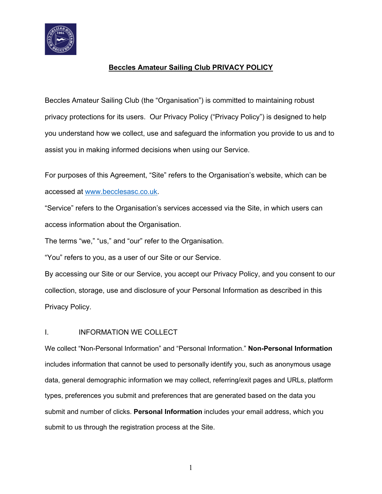

# **Beccles Amateur Sailing Club PRIVACY POLICY**

Beccles Amateur Sailing Club (the "Organisation") is committed to maintaining robust privacy protections for its users. Our Privacy Policy ("Privacy Policy") is designed to help you understand how we collect, use and safeguard the information you provide to us and to assist you in making informed decisions when using our Service.

For purposes of this Agreement, "Site" refers to the Organisation's website, which can be accessed at www.becclesasc.co.uk.

"Service" refers to the Organisation's services accessed via the Site, in which users can access information about the Organisation.

The terms "we," "us," and "our" refer to the Organisation.

"You" refers to you, as a user of our Site or our Service.

By accessing our Site or our Service, you accept our Privacy Policy, and you consent to our collection, storage, use and disclosure of your Personal Information as described in this Privacy Policy.

### I. **INFORMATION WE COLLECT**

We collect "Non-Personal Information" and "Personal Information." **Non-Personal Information** includes information that cannot be used to personally identify you, such as anonymous usage data, general demographic information we may collect, referring/exit pages and URLs, platform types, preferences you submit and preferences that are generated based on the data you submit and number of clicks. **Personal Information** includes your email address, which you submit to us through the registration process at the Site.

1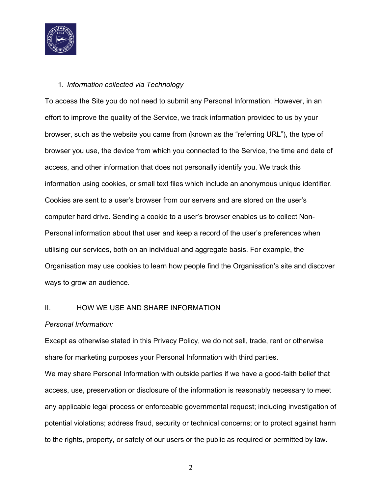

## 1. *Information collected via Technology*

To access the Site you do not need to submit any Personal Information. However, in an effort to improve the quality of the Service, we track information provided to us by your browser, such as the website you came from (known as the "referring URL"), the type of browser you use, the device from which you connected to the Service, the time and date of access, and other information that does not personally identify you. We track this information using cookies, or small text files which include an anonymous unique identifier. Cookies are sent to a user's browser from our servers and are stored on the user's computer hard drive. Sending a cookie to a user's browser enables us to collect Non-Personal information about that user and keep a record of the user's preferences when utilising our services, both on an individual and aggregate basis. For example, the Organisation may use cookies to learn how people find the Organisation's site and discover ways to grow an audience.

### II. HOW WE USE AND SHARE INFORMATION

#### *Personal Information:*

Except as otherwise stated in this Privacy Policy, we do not sell, trade, rent or otherwise share for marketing purposes your Personal Information with third parties.

We may share Personal Information with outside parties if we have a good-faith belief that access, use, preservation or disclosure of the information is reasonably necessary to meet any applicable legal process or enforceable governmental request; including investigation of potential violations; address fraud, security or technical concerns; or to protect against harm to the rights, property, or safety of our users or the public as required or permitted by law.

 $\overline{2}$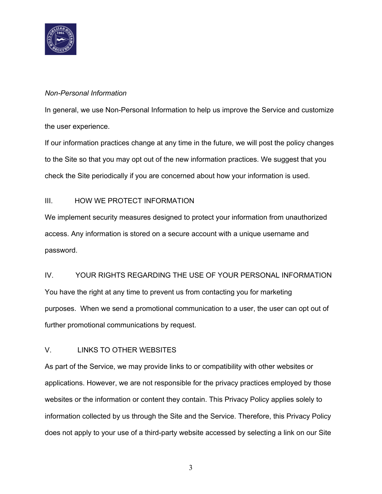

# *Non-Personal Information*

In general, we use Non-Personal Information to help us improve the Service and customize the user experience.

If our information practices change at any time in the future, we will post the policy changes to the Site so that you may opt out of the new information practices. We suggest that you check the Site periodically if you are concerned about how your information is used.

# III. HOW WE PROTECT INFORMATION

We implement security measures designed to protect your information from unauthorized access. Any information is stored on a secure account with a unique username and password.

# IV. YOUR RIGHTS REGARDING THE USE OF YOUR PERSONAL INFORMATION You have the right at any time to prevent us from contacting you for marketing purposes. When we send a promotional communication to a user, the user can opt out of further promotional communications by request.

# V. LINKS TO OTHER WEBSITES

As part of the Service, we may provide links to or compatibility with other websites or applications. However, we are not responsible for the privacy practices employed by those websites or the information or content they contain. This Privacy Policy applies solely to information collected by us through the Site and the Service. Therefore, this Privacy Policy does not apply to your use of a third-party website accessed by selecting a link on our Site